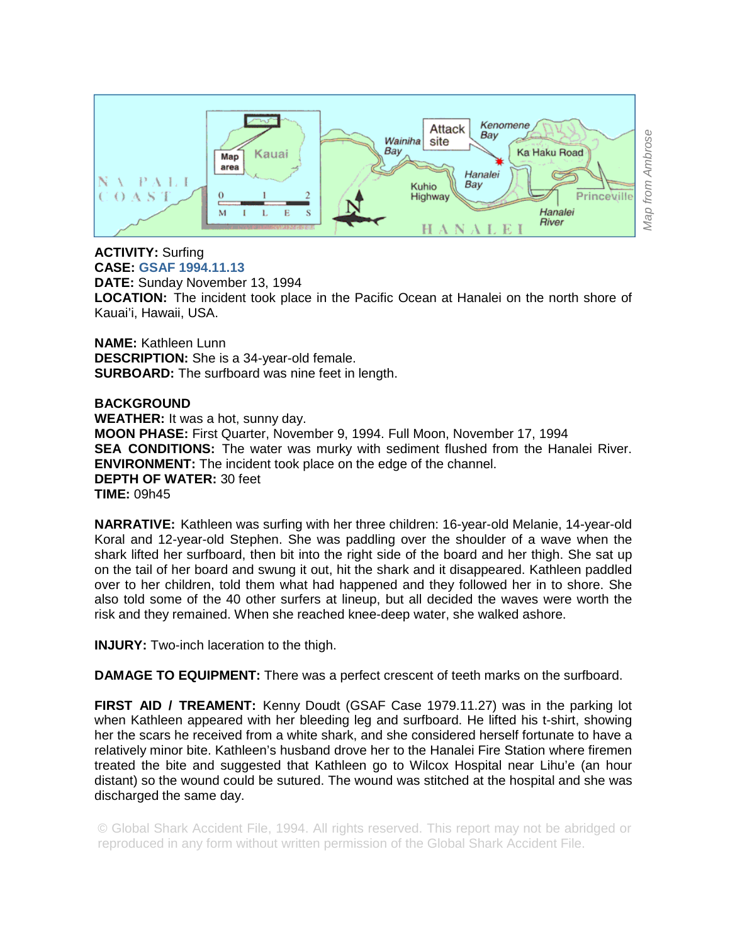

## **ACTIVITY:** Surfing **CASE: GSAF 1994.11.13**

**DATE:** Sunday November 13, 1994 **LOCATION:** The incident took place in the Pacific Ocean at Hanalei on the north shore of Kauai'i, Hawaii, USA.

**NAME:** Kathleen Lunn **DESCRIPTION:** She is a 34-year-old female. **SURBOARD:** The surfboard was nine feet in length.

## **BACKGROUND**

**WEATHER:** It was a hot, sunny day. **MOON PHASE:** First Quarter, November 9, 1994. Full Moon, November 17, 1994 **SEA CONDITIONS:** The water was murky with sediment flushed from the Hanalei River. **ENVIRONMENT:** The incident took place on the edge of the channel. **DEPTH OF WATER:** 30 feet **TIME:** 09h45

**NARRATIVE:** Kathleen was surfing with her three children: 16-year-old Melanie, 14-year-old Koral and 12-year-old Stephen. She was paddling over the shoulder of a wave when the shark lifted her surfboard, then bit into the right side of the board and her thigh. She sat up on the tail of her board and swung it out, hit the shark and it disappeared. Kathleen paddled over to her children, told them what had happened and they followed her in to shore. She also told some of the 40 other surfers at lineup, but all decided the waves were worth the risk and they remained. When she reached knee-deep water, she walked ashore.

**INJURY:** Two-inch laceration to the thigh.

**DAMAGE TO EQUIPMENT:** There was a perfect crescent of teeth marks on the surfboard.

**FIRST AID / TREAMENT:** Kenny Doudt (GSAF Case 1979.11.27) was in the parking lot when Kathleen appeared with her bleeding leg and surfboard. He lifted his t-shirt, showing her the scars he received from a white shark, and she considered herself fortunate to have a relatively minor bite. Kathleen's husband drove her to the Hanalei Fire Station where firemen treated the bite and suggested that Kathleen go to Wilcox Hospital near Lihu'e (an hour distant) so the wound could be sutured. The wound was stitched at the hospital and she was discharged the same day.

© Global Shark Accident File, 1994. All rights reserved. This report may not be abridged or reproduced in any form without written permission of the Global Shark Accident File.